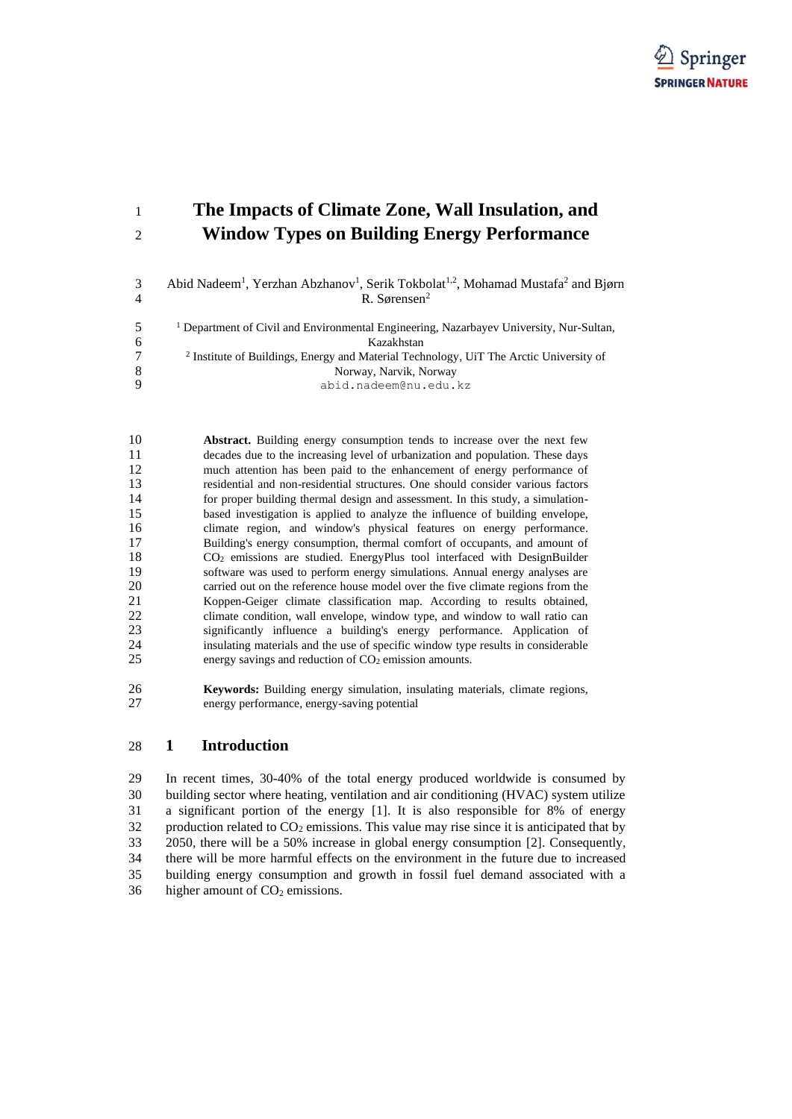

# **The Impacts of Climate Zone, Wall Insulation, and Window Types on Building Energy Performance**

3 Abid Nadeem<sup>1</sup>, Yerzhan Abzhanov<sup>1</sup>, Serik Tokbolat<sup>1,2</sup>, Mohamad Mustafa<sup>2</sup> and Bjørn R. Sørensen<sup>2</sup>

|   | <sup>1</sup> Department of Civil and Environmental Engineering, Nazarbayev University, Nur-Sultan, |
|---|----------------------------------------------------------------------------------------------------|
| 6 | Kazakhstan                                                                                         |
|   | <sup>2</sup> Institute of Buildings, Energy and Material Technology, UiT The Arctic University of  |
| 8 | Norway, Narvik, Norway                                                                             |
| Q | abid.nadeem@nu.edu.kz                                                                              |

 **Abstract.** Building energy consumption tends to increase over the next few decades due to the increasing level of urbanization and population. These days much attention has been paid to the enhancement of energy performance of residential and non-residential structures. One should consider various factors for proper building thermal design and assessment. In this study, a simulation- based investigation is applied to analyze the influence of building envelope, climate region, and window's physical features on energy performance. Building's energy consumption, thermal comfort of occupants, and amount of CO<sup>2</sup> emissions are studied. EnergyPlus tool interfaced with DesignBuilder software was used to perform energy simulations. Annual energy analyses are carried out on the reference house model over the five climate regions from the Koppen-Geiger climate classification map. According to results obtained, climate condition, wall envelope, window type, and window to wall ratio can significantly influence a building's energy performance. Application of insulating materials and the use of specific window type results in considerable 25 energy savings and reduction of CO<sub>2</sub> emission amounts.

 **Keywords:** Building energy simulation, insulating materials, climate regions, energy performance, energy-saving potential

## **1 Introduction**

 In recent times, 30-40% of the total energy produced worldwide is consumed by building sector where heating, ventilation and air conditioning (HVAC) system utilize a significant portion of the energy [1]. It is also responsible for 8% of energy 32 production related to  $CO<sub>2</sub>$  emissions. This value may rise since it is anticipated that by 2050, there will be a 50% increase in global energy consumption [2]. Consequently, there will be more harmful effects on the environment in the future due to increased building energy consumption and growth in fossil fuel demand associated with a 36 higher amount of  $CO<sub>2</sub>$  emissions.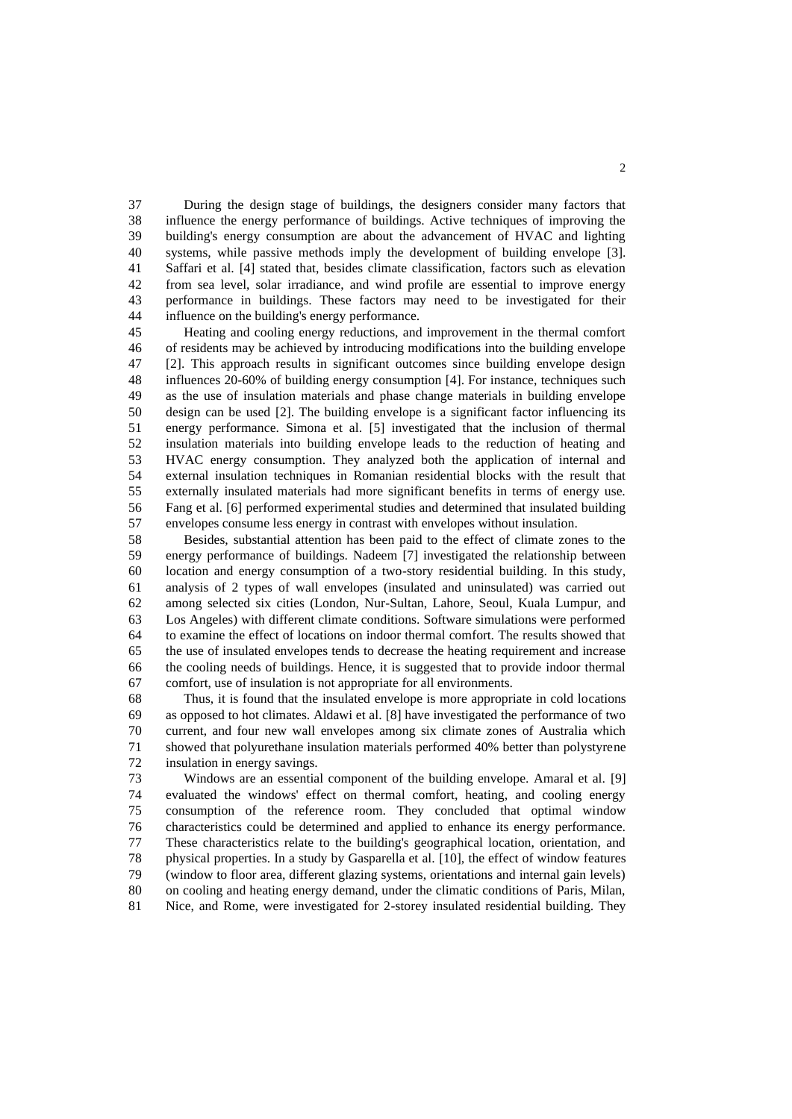During the design stage of buildings, the designers consider many factors that influence the energy performance of buildings. Active techniques of improving the building's energy consumption are about the advancement of HVAC and lighting systems, while passive methods imply the development of building envelope [3]. Saffari et al. [4] stated that, besides climate classification, factors such as elevation from sea level, solar irradiance, and wind profile are essential to improve energy performance in buildings. These factors may need to be investigated for their influence on the building's energy performance.

 Heating and cooling energy reductions, and improvement in the thermal comfort of residents may be achieved by introducing modifications into the building envelope [2]. This approach results in significant outcomes since building envelope design influences 20-60% of building energy consumption [4]. For instance, techniques such as the use of insulation materials and phase change materials in building envelope design can be used [2]. The building envelope is a significant factor influencing its energy performance. Simona et al. [5] investigated that the inclusion of thermal insulation materials into building envelope leads to the reduction of heating and HVAC energy consumption. They analyzed both the application of internal and external insulation techniques in Romanian residential blocks with the result that externally insulated materials had more significant benefits in terms of energy use. Fang et al. [6] performed experimental studies and determined that insulated building envelopes consume less energy in contrast with envelopes without insulation.

 Besides, substantial attention has been paid to the effect of climate zones to the energy performance of buildings. Nadeem [7] investigated the relationship between location and energy consumption of a two-story residential building. In this study, analysis of 2 types of wall envelopes (insulated and uninsulated) was carried out among selected six cities (London, Nur-Sultan, Lahore, Seoul, Kuala Lumpur, and Los Angeles) with different climate conditions. Software simulations were performed to examine the effect of locations on indoor thermal comfort. The results showed that the use of insulated envelopes tends to decrease the heating requirement and increase the cooling needs of buildings. Hence, it is suggested that to provide indoor thermal comfort, use of insulation is not appropriate for all environments.

 Thus, it is found that the insulated envelope is more appropriate in cold locations as opposed to hot climates. Aldawi et al. [8] have investigated the performance of two current, and four new wall envelopes among six climate zones of Australia which showed that polyurethane insulation materials performed 40% better than polystyrene insulation in energy savings.

 Windows are an essential component of the building envelope. Amaral et al. [9] evaluated the windows' effect on thermal comfort, heating, and cooling energy consumption of the reference room. They concluded that optimal window characteristics could be determined and applied to enhance its energy performance. These characteristics relate to the building's geographical location, orientation, and physical properties. In a study by Gasparella et al. [10], the effect of window features (window to floor area, different glazing systems, orientations and internal gain levels) on cooling and heating energy demand, under the climatic conditions of Paris, Milan, Nice, and Rome, were investigated for 2-storey insulated residential building. They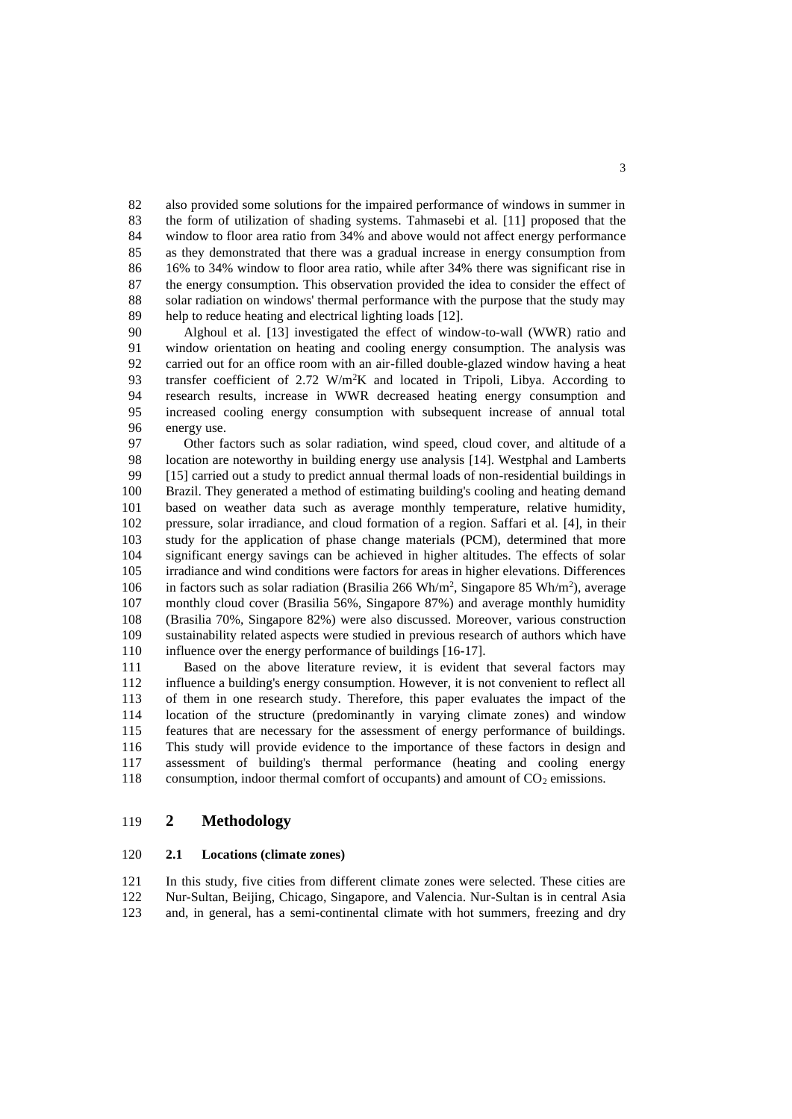also provided some solutions for the impaired performance of windows in summer in the form of utilization of shading systems. Tahmasebi et al. [11] proposed that the window to floor area ratio from 34% and above would not affect energy performance as they demonstrated that there was a gradual increase in energy consumption from 16% to 34% window to floor area ratio, while after 34% there was significant rise in the energy consumption. This observation provided the idea to consider the effect of solar radiation on windows' thermal performance with the purpose that the study may help to reduce heating and electrical lighting loads [12].

 Alghoul et al. [13] investigated the effect of window-to-wall (WWR) ratio and window orientation on heating and cooling energy consumption. The analysis was carried out for an office room with an air-filled double-glazed window having a heat 93 transfer coefficient of 2.72  $W/m^2K$  and located in Tripoli, Libya. According to research results, increase in WWR decreased heating energy consumption and increased cooling energy consumption with subsequent increase of annual total energy use.

 Other factors such as solar radiation, wind speed, cloud cover, and altitude of a location are noteworthy in building energy use analysis [14]. Westphal and Lamberts [15] carried out a study to predict annual thermal loads of non-residential buildings in Brazil. They generated a method of estimating building's cooling and heating demand based on weather data such as average monthly temperature, relative humidity, pressure, solar irradiance, and cloud formation of a region. Saffari et al. [4], in their study for the application of phase change materials (PCM), determined that more significant energy savings can be achieved in higher altitudes. The effects of solar irradiance and wind conditions were factors for areas in higher elevations. Differences 106 in factors such as solar radiation (Brasilia 266 Wh/m<sup>2</sup>, Singapore 85 Wh/m<sup>2</sup>), average monthly cloud cover (Brasilia 56%, Singapore 87%) and average monthly humidity (Brasilia 70%, Singapore 82%) were also discussed. Moreover, various construction sustainability related aspects were studied in previous research of authors which have 110 influence over the energy performance of buildings [16-17].

 Based on the above literature review, it is evident that several factors may influence a building's energy consumption. However, it is not convenient to reflect all of them in one research study. Therefore, this paper evaluates the impact of the location of the structure (predominantly in varying climate zones) and window features that are necessary for the assessment of energy performance of buildings. This study will provide evidence to the importance of these factors in design and assessment of building's thermal performance (heating and cooling energy 118 consumption, indoor thermal comfort of occupants) and amount of  $CO<sub>2</sub>$  emissions.

# **2 Methodology**

## **2.1 Locations (climate zones)**

 In this study, five cities from different climate zones were selected. These cities are Nur-Sultan, Beijing, Chicago, Singapore, and Valencia. Nur-Sultan is in central Asia and, in general, has a semi-continental climate with hot summers, freezing and dry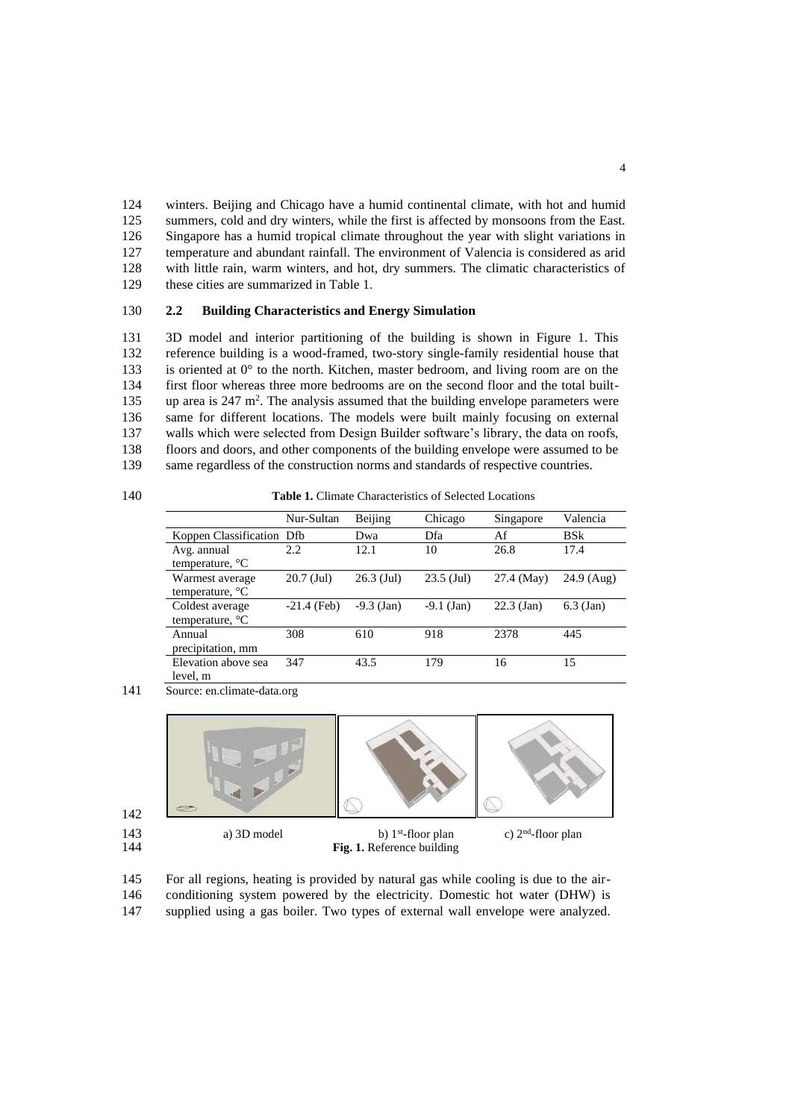winters. Beijing and Chicago have a humid continental climate, with hot and humid summers, cold and dry winters, while the first is affected by monsoons from the East. Singapore has a humid tropical climate throughout the year with slight variations in temperature and abundant rainfall. The environment of Valencia is considered as arid with little rain, warm winters, and hot, dry summers. The climatic characteristics of these cities are summarized in Table 1.

#### 130 **2.2 Building Characteristics and Energy Simulation**

 3D model and interior partitioning of the building is shown in Figure 1. This reference building is a wood-framed, two-story single-family residential house that 133 is oriented at  $0^\circ$  to the north. Kitchen, master bedroom, and living room are on the first floor whereas three more bedrooms are on the second floor and the total built-135 . up area is 247  $m^2$ . The analysis assumed that the building envelope parameters were same for different locations. The models were built mainly focusing on external walls which were selected from Design Builder software's library, the data on roofs, floors and doors, and other components of the building envelope were assumed to be same regardless of the construction norms and standards of respective countries.

Table 1. Climate Characteristics of Selected Locations

|                                             | Nur-Sultan    | Beijing      | Chicago      | Singapore    | Valencia     |
|---------------------------------------------|---------------|--------------|--------------|--------------|--------------|
| Koppen Classification Dfb                   |               | Dwa          | Dfa          | Af           | <b>BS</b> k  |
| Avg. annual<br>temperature, $^{\circ}C$     | 2.2           | 12.1         | 10           | 26.8         | 17.4         |
| Warmest average<br>temperature, $^{\circ}C$ | $20.7$ (Jul)  | $26.3$ (Jul) | $23.5$ (Jul) | 27.4 (May)   | $24.9$ (Aug) |
| Coldest average<br>temperature, $^{\circ}C$ | $-21.4$ (Feb) | $-9.3$ (Jan) | $-9.1$ (Jan) | $22.3$ (Jan) | $6.3$ (Jan)  |
| Annual<br>precipitation, mm                 | 308           | 610          | 918          | 2378         | 445          |
| Elevation above sea<br>level, m             | 347           | 43.5         | 179          | 16           | 15           |

141 Source: en.climate-data.org



145 For all regions, heating is provided by natural gas while cooling is due to the air-146 conditioning system powered by the electricity. Domestic hot water (DHW) is

147 supplied using a gas boiler. Two types of external wall envelope were analyzed.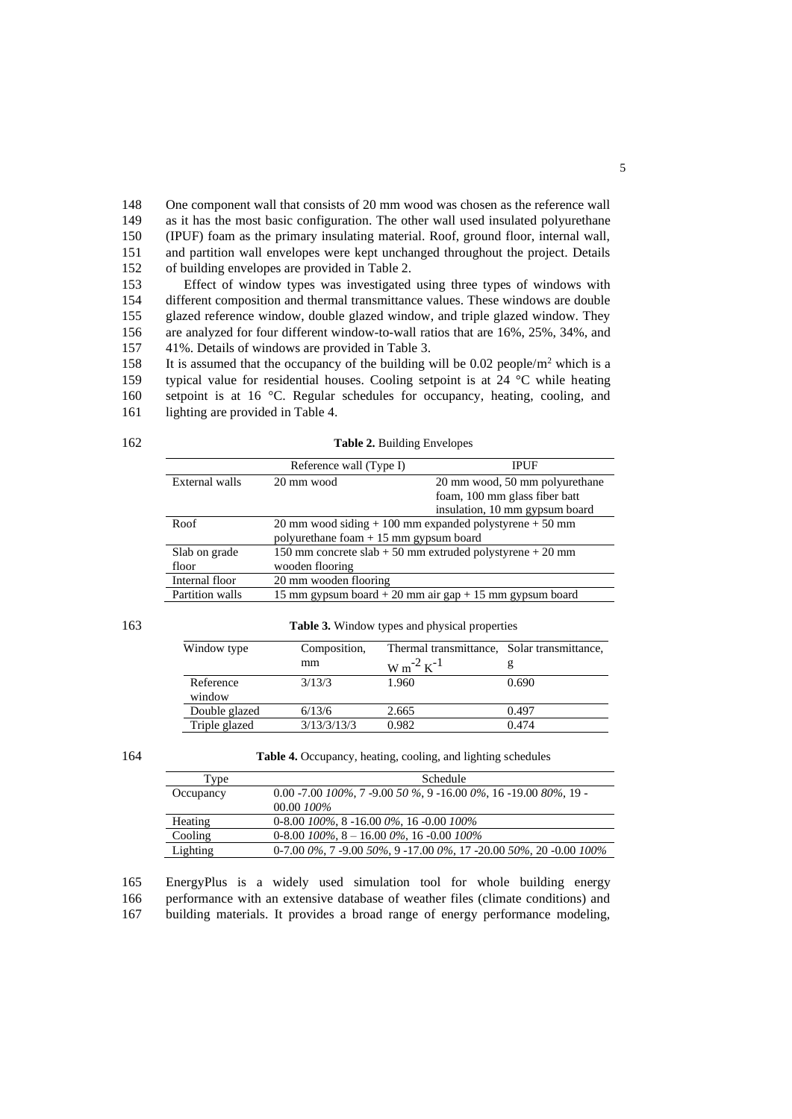One component wall that consists of 20 mm wood was chosen as the reference wall as it has the most basic configuration. The other wall used insulated polyurethane (IPUF) foam as the primary insulating material. Roof, ground floor, internal wall, and partition wall envelopes were kept unchanged throughout the project. Details of building envelopes are provided in Table 2.

 Effect of window types was investigated using three types of windows with different composition and thermal transmittance values. These windows are double glazed reference window, double glazed window, and triple glazed window. They are analyzed for four different window-to-wall ratios that are 16%, 25%, 34%, and 41%. Details of windows are provided in Table 3.

158 It is assumed that the occupancy of the building will be 0.02 people/ $m<sup>2</sup>$  which is a 159 typical value for residential houses. Cooling setpoint is at 24 °C while heating 160 setpoint is at 16 °C. Regular schedules for occupancy, heating, cooling, and 161 lighting are provided in Table 4.

Table 2. Building Envelopes

|                 | Reference wall (Type I)                 | <b>IPUF</b>                                                   |
|-----------------|-----------------------------------------|---------------------------------------------------------------|
| External walls  | 20 mm wood                              | 20 mm wood, 50 mm polyurethane                                |
|                 |                                         | foam, 100 mm glass fiber batt                                 |
|                 |                                         | insulation, 10 mm gypsum board                                |
| Roof            |                                         | 20 mm wood siding $+100$ mm expanded polystyrene $+50$ mm     |
|                 | polyurethane foam $+15$ mm gypsum board |                                                               |
| Slab on grade   |                                         | 150 mm concrete slab $+$ 50 mm extruded polystyrene $+$ 20 mm |
| floor           | wooden flooring                         |                                                               |
| Internal floor  | 20 mm wooden flooring                   |                                                               |
| Partition walls |                                         | 15 mm gypsum board + 20 mm air gap + 15 mm gypsum board       |
|                 |                                         |                                                               |

163 **Table 3.** Window types and physical properties

| Window type         | Composition, | Thermal transmittance, Solar transmittance, |       |
|---------------------|--------------|---------------------------------------------|-------|
|                     | mm           | $W m^{-2} K^{-1}$                           |       |
| Reference<br>window | 3/13/3       | 1.960                                       | 0.690 |
| Double glazed       | 6/13/6       | 2.665                                       | 0.497 |
| Triple glazed       | 3/13/3/13/3  | 0.982                                       | 0.474 |

164 **Table 4.** Occupancy, heating, cooling, and lighting schedules

| Type      | Schedule                                                                                           |
|-----------|----------------------------------------------------------------------------------------------------|
| Occupancy | $0.00 - 7.00$ $100\%$ , $7 - 9.00$ $50\%$ , $9 - 16.00$ $0\%$ , $16 - 19.00$ $80\%$ , $19 - 10.00$ |
|           | 00.00 100\%                                                                                        |
| Heating   | $0-8.00$ $100\%$ , $8-16.00$ $0\%$ , $16-0.00$ $100\%$                                             |
| Cooling   | $0-8.00$ $100\%$ , $8-16.00$ $0\%$ , 16 $-0.00$ $100\%$                                            |
| Lighting  | $0-7.000\%$ , $7-9.0050\%$ , $9-17.000\%$ , $17-20.0050\%$ , $20-0.00100\%$                        |

165 EnergyPlus is a widely used simulation tool for whole building energy

166 performance with an extensive database of weather files (climate conditions) and

167 building materials. It provides a broad range of energy performance modeling,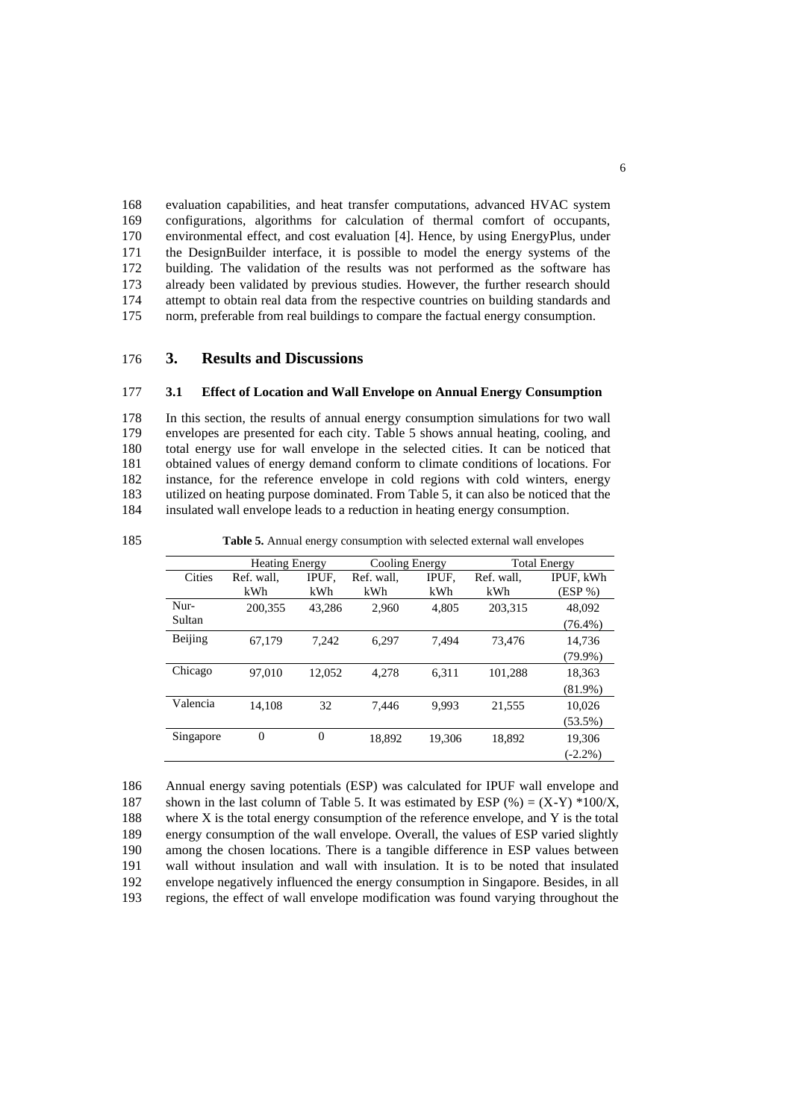evaluation capabilities, and heat transfer computations, advanced HVAC system configurations, algorithms for calculation of thermal comfort of occupants, environmental effect, and cost evaluation [4]. Hence, by using EnergyPlus, under the DesignBuilder interface, it is possible to model the energy systems of the building. The validation of the results was not performed as the software has already been validated by previous studies. However, the further research should attempt to obtain real data from the respective countries on building standards and norm, preferable from real buildings to compare the factual energy consumption.

## 176 **3. Results and Discussions**

#### 177 **3.1 Effect of Location and Wall Envelope on Annual Energy Consumption**

 In this section, the results of annual energy consumption simulations for two wall envelopes are presented for each city. Table 5 shows annual heating, cooling, and total energy use for wall envelope in the selected cities. It can be noticed that obtained values of energy demand conform to climate conditions of locations. For instance, for the reference envelope in cold regions with cold winters, energy utilized on heating purpose dominated. From Table 5, it can also be noticed that the insulated wall envelope leads to a reduction in heating energy consumption.

185 **Table 5.** Annual energy consumption with selected external wall envelopes

|                | <b>Heating Energy</b> |                | Cooling Energy    |              | <b>Total Energy</b> |                         |  |
|----------------|-----------------------|----------------|-------------------|--------------|---------------------|-------------------------|--|
| Cities         | Ref. wall.<br>kWh     | IPUF.<br>kWh   | Ref. wall.<br>kWh | IPUF.<br>kWh | Ref. wall.<br>kWh   | IPUF, kWh<br>$(ESP\% )$ |  |
| Nur-<br>Sultan | 200,355               | 43.286         | 2,960             | 4,805        | 203,315             | 48,092<br>$(76.4\%)$    |  |
| Beijing        | 67.179                | 7,242          | 6,297             | 7.494        | 73.476              | 14,736<br>$(79.9\%)$    |  |
| Chicago        | 97.010                | 12,052         | 4,278             | 6,311        | 101,288             | 18,363<br>$(81.9\%)$    |  |
| Valencia       | 14,108                | 32             | 7,446             | 9,993        | 21,555              | 10,026<br>$(53.5\%)$    |  |
| Singapore      | $\overline{0}$        | $\overline{0}$ | 18,892            | 19,306       | 18,892              | 19,306<br>$(-2.2\%)$    |  |

 Annual energy saving potentials (ESP) was calculated for IPUF wall envelope and 187 shown in the last column of Table 5. It was estimated by ESP  $%$   $= (X-Y) *100/X$ , where X is the total energy consumption of the reference envelope, and Y is the total energy consumption of the wall envelope. Overall, the values of ESP varied slightly among the chosen locations. There is a tangible difference in ESP values between wall without insulation and wall with insulation. It is to be noted that insulated envelope negatively influenced the energy consumption in Singapore. Besides, in all regions, the effect of wall envelope modification was found varying throughout the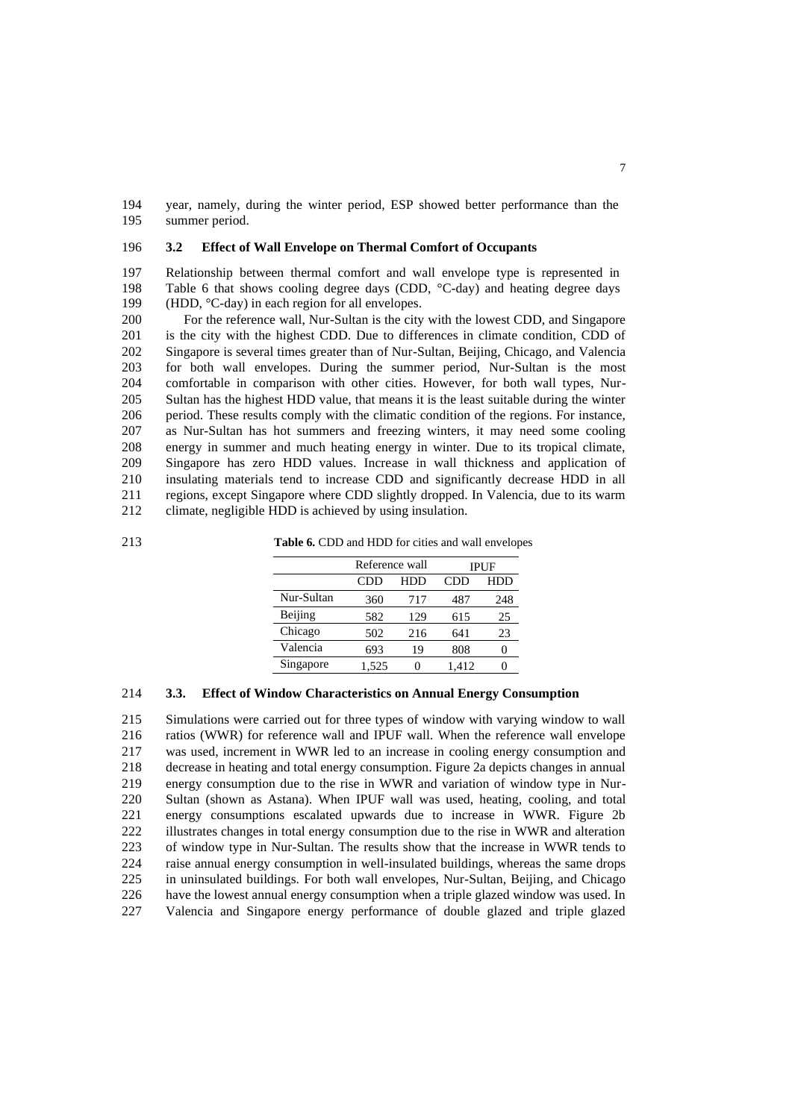year, namely, during the winter period, ESP showed better performance than the summer period.

#### **3.2 Effect of Wall Envelope on Thermal Comfort of Occupants**

 Relationship between thermal comfort and wall envelope type is represented in 198 Table 6 that shows cooling degree days (CDD, °C-day) and heating degree days 199 (HDD, °C-day) in each region for all envelopes.

 For the reference wall, Nur-Sultan is the city with the lowest CDD, and Singapore is the city with the highest CDD. Due to differences in climate condition, CDD of Singapore is several times greater than of Nur-Sultan, Beijing, Chicago, and Valencia for both wall envelopes. During the summer period, Nur-Sultan is the most comfortable in comparison with other cities. However, for both wall types, Nur- Sultan has the highest HDD value, that means it is the least suitable during the winter period. These results comply with the climatic condition of the regions. For instance, as Nur-Sultan has hot summers and freezing winters, it may need some cooling energy in summer and much heating energy in winter. Due to its tropical climate, Singapore has zero HDD values. Increase in wall thickness and application of insulating materials tend to increase CDD and significantly decrease HDD in all regions, except Singapore where CDD slightly dropped. In Valencia, due to its warm climate, negligible HDD is achieved by using insulation.

**Table 6.** CDD and HDD for cities and wall envelopes

|            | Reference wall |     |       | <b>IPUF</b> |
|------------|----------------|-----|-------|-------------|
|            | CDD            | HDD | CDD   | HDD         |
| Nur-Sultan | 360            | 717 | 487   | 248         |
| Beijing    | 582            | 129 | 615   | 25          |
| Chicago    | 502            | 216 | 641   | 23          |
| Valencia   | 693            | 19  | 808   |             |
| Singapore  | 1.525          |     | 1.412 |             |

#### **3.3. Effect of Window Characteristics on Annual Energy Consumption**

 Simulations were carried out for three types of window with varying window to wall ratios (WWR) for reference wall and IPUF wall. When the reference wall envelope was used, increment in WWR led to an increase in cooling energy consumption and decrease in heating and total energy consumption. Figure 2a depicts changes in annual energy consumption due to the rise in WWR and variation of window type in Nur- Sultan (shown as Astana). When IPUF wall was used, heating, cooling, and total energy consumptions escalated upwards due to increase in WWR. Figure 2b illustrates changes in total energy consumption due to the rise in WWR and alteration of window type in Nur-Sultan. The results show that the increase in WWR tends to raise annual energy consumption in well-insulated buildings, whereas the same drops in uninsulated buildings. For both wall envelopes, Nur-Sultan, Beijing, and Chicago have the lowest annual energy consumption when a triple glazed window was used. In Valencia and Singapore energy performance of double glazed and triple glazed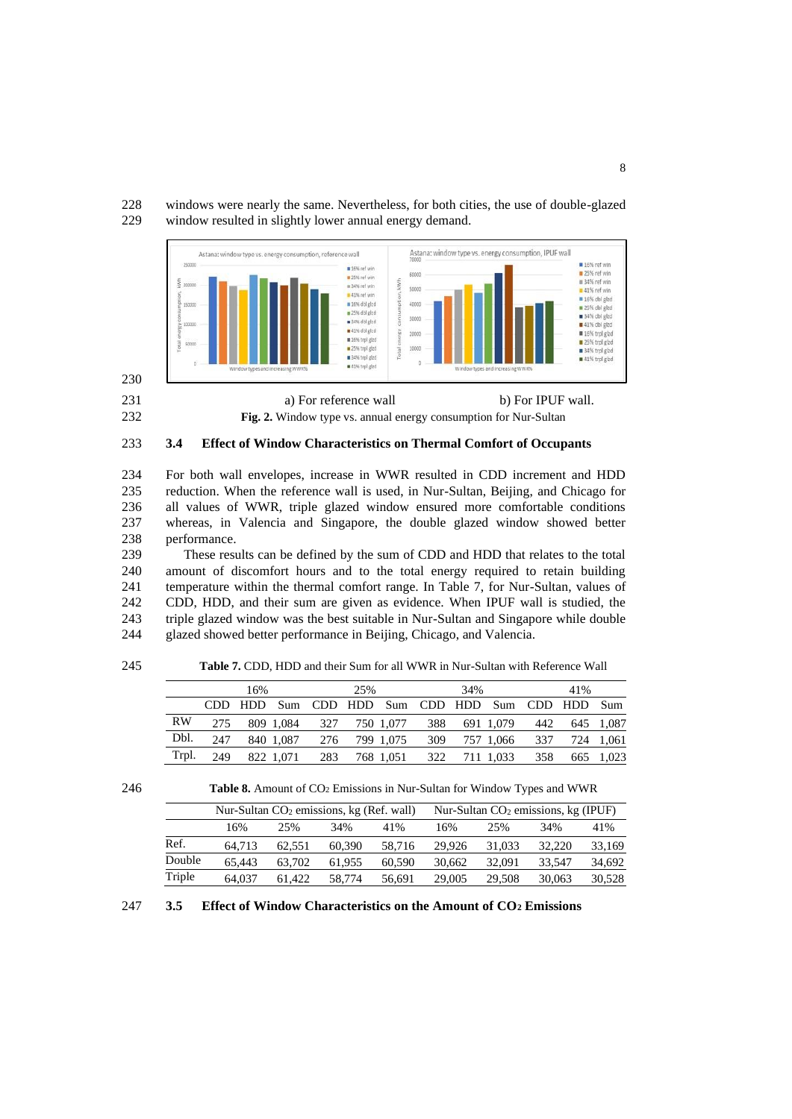windows were nearly the same. Nevertheless, for both cities, the use of double-glazed window resulted in slightly lower annual energy demand.



**Fig. 2.** Window type vs. annual energy consumption for Nur-Sultan

## **3.4 Effect of Window Characteristics on Thermal Comfort of Occupants**

 For both wall envelopes, increase in WWR resulted in CDD increment and HDD reduction. When the reference wall is used, in Nur-Sultan, Beijing, and Chicago for all values of WWR, triple glazed window ensured more comfortable conditions whereas, in Valencia and Singapore, the double glazed window showed better performance.

 These results can be defined by the sum of CDD and HDD that relates to the total amount of discomfort hours and to the total energy required to retain building temperature within the thermal comfort range. In Table 7, for Nur-Sultan, values of CDD, HDD, and their sum are given as evidence. When IPUF wall is studied, the triple glazed window was the best suitable in Nur-Sultan and Singapore while double glazed showed better performance in Beijing, Chicago, and Valencia.

| 245 |           |     |      |           | <b>Table 7. CDD, HDD and their Sum for all WWR in Nur-Sultan with Reference Wall</b> |         |           |                 |     |           |         |     |       |
|-----|-----------|-----|------|-----------|--------------------------------------------------------------------------------------|---------|-----------|-----------------|-----|-----------|---------|-----|-------|
|     |           |     | 16%  |           |                                                                                      | 25%     |           |                 | 34% |           |         | 41% |       |
|     |           |     | HDD. | Sum       |                                                                                      | CDD HDD |           | Sum CDD HDD Sum |     |           | CDD HDD |     | - Sum |
|     | <b>RW</b> | 275 |      | 809 1.084 | 327                                                                                  |         | 750 1,077 | 388             |     | 691 1.079 | 442     | 645 | 1.087 |
|     | Dbl.      | 247 |      | 840 1.087 | 276                                                                                  |         | 799 1.075 | 309             |     | 757 1.066 | 337     | 724 | 1.061 |
|     | Trpl.     | 249 |      | 822 1.071 | 283                                                                                  |         | 768 1,051 | 322             |     | 711 1,033 | 358     | 665 | 1.023 |

**Table 8.** Amount of CO<sup>2</sup> Emissions in Nur-Sultan for Window Types and WWR

|        | Nur-Sultan $CO2$ emissions, kg (Ref. wall) |        |        | Nur-Sultan $CO2$ emissions, kg (IPUF) |        |        |        |        |
|--------|--------------------------------------------|--------|--------|---------------------------------------|--------|--------|--------|--------|
|        | 16%                                        | 25%    | 34%    | 41%                                   | 16%    | 25%    | 34%    | 41%    |
| Ref.   | 64.713                                     | 62.551 | 60.390 | 58.716                                | 29.926 | 31,033 | 32,220 | 33,169 |
| Double | 65.443                                     | 63.702 | 61.955 | 60.590                                | 30.662 | 32,091 | 33.547 | 34,692 |
| Triple | 64.037                                     | 61.422 | 58,774 | 56.691                                | 29,005 | 29.508 | 30,063 | 30,528 |

**3.5 Effect of Window Characteristics on the Amount of CO<sup>2</sup> Emissions**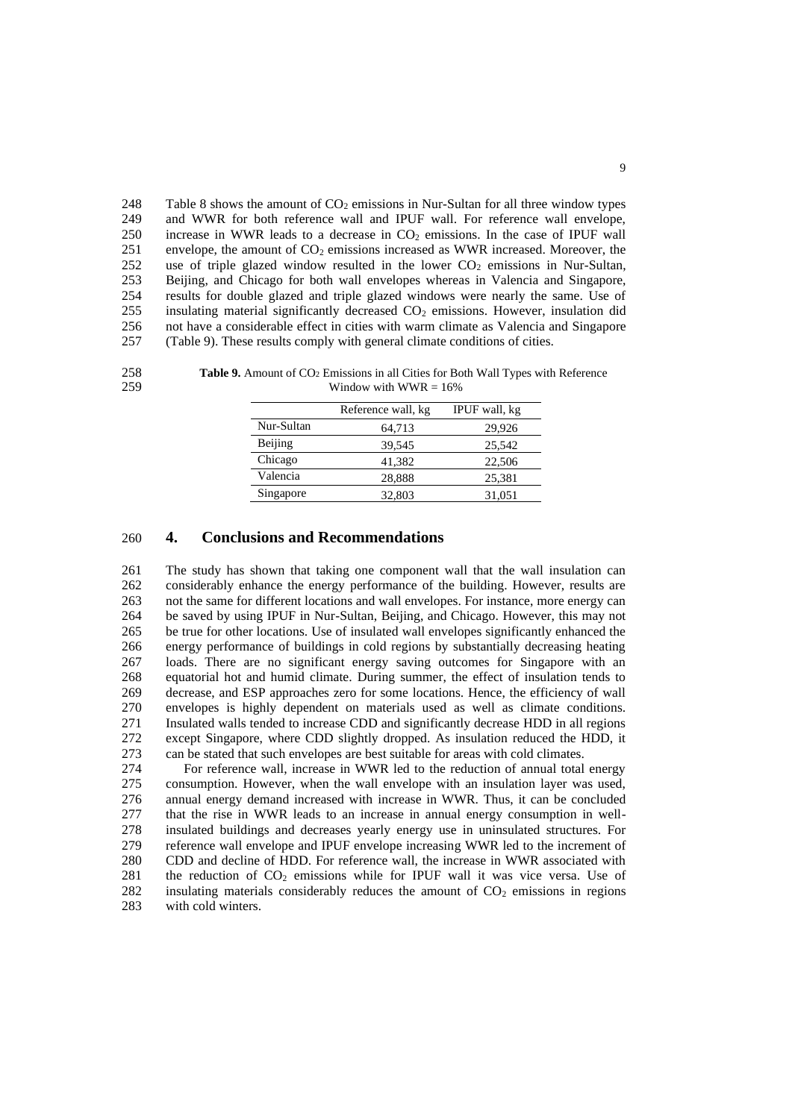248 Table 8 shows the amount of  $CO<sub>2</sub>$  emissions in Nur-Sultan for all three window types 249 and WWR for both reference wall and IPUF wall. For reference wall envelope, 250 increase in WWR leads to a decrease in  $CO<sub>2</sub>$  emissions. In the case of IPUF wall 251 envelope, the amount of  $CO<sub>2</sub>$  emissions increased as WWR increased. Moreover, the 252 use of triple glazed window resulted in the lower  $CO<sub>2</sub>$  emissions in Nur-Sultan, 253 Beijing, and Chicago for both wall envelopes whereas in Valencia and Singapore, 254 results for double glazed and triple glazed windows were nearly the same. Use of 255 insulating material significantly decreased  $CO<sub>2</sub>$  emissions. However, insulation did 256 not have a considerable effect in cities with warm climate as Valencia and Singapore 256 not have a considerable effect in cities with warm climate as Valencia and Singapore<br>257 (Table 9). These results comply with general climate conditions of cities. (Table 9). These results comply with general climate conditions of cities.



258 **Table 9.** Amount of CO<sub>2</sub> Emissions in all Cities for Both Wall Types with Reference  $259$  Window with WWR = 16%

|            | Reference wall, kg | IPUF wall, kg |
|------------|--------------------|---------------|
| Nur-Sultan | 64,713             | 29,926        |
| Beijing    | 39,545             | 25,542        |
| Chicago    | 41,382             | 22,506        |
| Valencia   | 28,888             | 25,381        |
| Singapore  | 32,803             | 31,051        |

## 260 **4. Conclusions and Recommendations**

 The study has shown that taking one component wall that the wall insulation can considerably enhance the energy performance of the building. However, results are not the same for different locations and wall envelopes. For instance, more energy can be saved by using IPUF in Nur-Sultan, Beijing, and Chicago. However, this may not be true for other locations. Use of insulated wall envelopes significantly enhanced the energy performance of buildings in cold regions by substantially decreasing heating loads. There are no significant energy saving outcomes for Singapore with an equatorial hot and humid climate. During summer, the effect of insulation tends to decrease, and ESP approaches zero for some locations. Hence, the efficiency of wall envelopes is highly dependent on materials used as well as climate conditions. 271 Insulated walls tended to increase CDD and significantly decrease HDD in all regions<br>272 except Singapore. where CDD slightly dropped. As insulation reduced the HDD, it except Singapore, where CDD slightly dropped. As insulation reduced the HDD, it can be stated that such envelopes are best suitable for areas with cold climates.

 For reference wall, increase in WWR led to the reduction of annual total energy consumption. However, when the wall envelope with an insulation layer was used, annual energy demand increased with increase in WWR. Thus, it can be concluded that the rise in WWR leads to an increase in annual energy consumption in well- insulated buildings and decreases yearly energy use in uninsulated structures. For reference wall envelope and IPUF envelope increasing WWR led to the increment of CDD and decline of HDD. For reference wall, the increase in WWR associated with 281 the reduction of CO<sub>2</sub> emissions while for IPUF wall it was vice versa. Use of 282 insulating materials considerably reduces the amount of  $CO<sub>2</sub>$  emissions in regions with cold winters.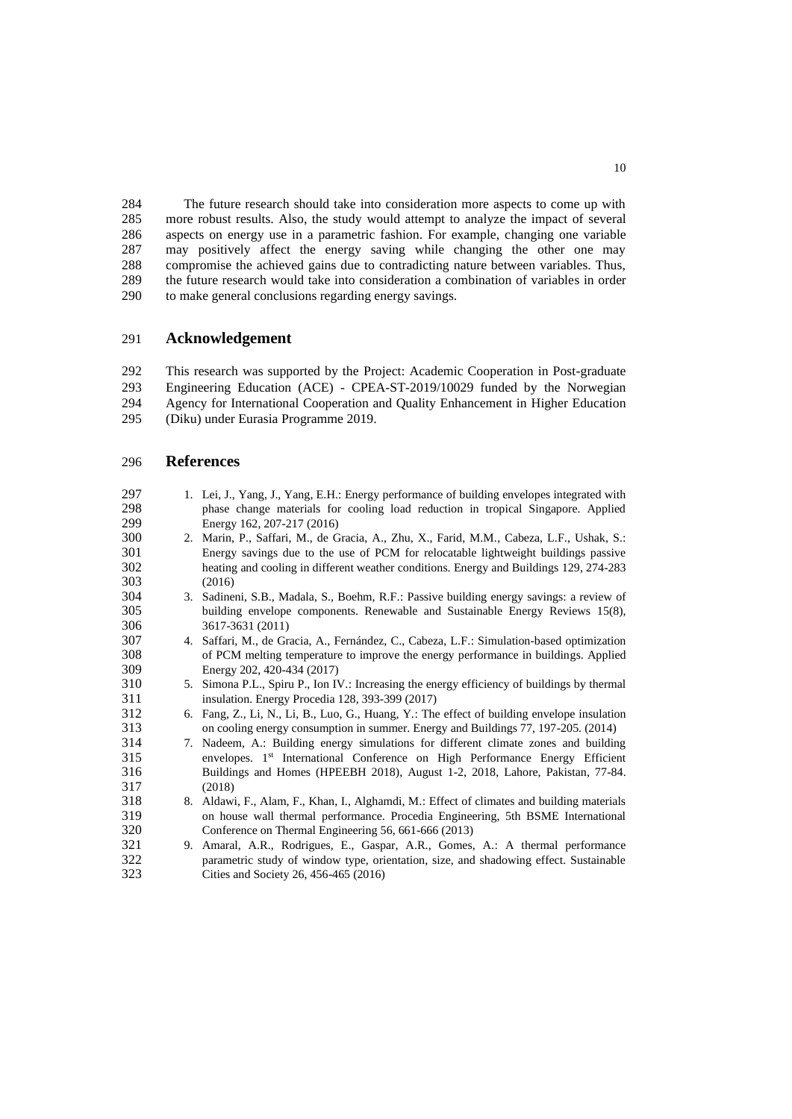The future research should take into consideration more aspects to come up with more robust results. Also, the study would attempt to analyze the impact of several aspects on energy use in a parametric fashion. For example, changing one variable may positively affect the energy saving while changing the other one may compromise the achieved gains due to contradicting nature between variables. Thus, the future research would take into consideration a combination of variables in order to make general conclusions regarding energy savings.

## **Acknowledgement**

 This research was supported by the Project: Academic Cooperation in Post-graduate Engineering Education (ACE) - CPEA-ST-2019/10029 funded by the Norwegian Agency for International Cooperation and Quality Enhancement in Higher Education

(Diku) under Eurasia Programme 2019.

## **References**

 1. Lei, J., Yang, J., Yang, E.H.: Energy performance of building envelopes integrated with phase change materials for cooling load reduction in tropical Singapore. Applied 299 Energy 162, 207-217 (2016)<br>300 2. Marin, P., Saffari, M., de G 2. Marin, P., Saffari, M., de Gracia, A., Zhu, X., Farid, M.M., Cabeza, L.F., Ushak, S.: Energy savings due to the use of PCM for relocatable lightweight buildings passive heating and cooling in different weather conditions. Energy and Buildings 129, 274-283 (2016) 3. Sadineni, S.B., Madala, S., Boehm, R.F.: Passive building energy savings: a review of building envelope components. Renewable and Sustainable Energy Reviews 15(8), 3617-3631 (2011) 4. Saffari, M., de Gracia, A., Fernández, C., Cabeza, L.F.: Simulation-based optimization of PCM melting temperature to improve the energy performance in buildings. Applied Energy 202, 420-434 (2017) 5. Simona P.L., Spiru P., Ion IV.: Increasing the energy efficiency of buildings by thermal insulation. Energy Procedia 128, 393-399 (2017) 6. Fang, Z., Li, N., Li, B., Luo, G., Huang, Y.: The effect of building envelope insulation on cooling energy consumption in summer. Energy and Buildings 77, 197-205. (2014) 7. Nadeem, A.: Building energy simulations for different climate zones and building 315 envelopes. 1st International Conference on High Performance Energy Efficient Buildings and Homes (HPEEBH 2018), August 1-2, 2018, Lahore, Pakistan, 77-84. (2018) 8. Aldawi, F., Alam, F., Khan, I., Alghamdi, M.: Effect of climates and building materials on house wall thermal performance. Procedia Engineering, 5th BSME International Conference on Thermal Engineering 56, 661-666 (2013) 9. Amaral, A.R., Rodrigues, E., Gaspar, A.R., Gomes, A.: A thermal performance parametric study of window type, orientation, size, and shadowing effect. Sustainable Cities and Society 26, 456-465 (2016)